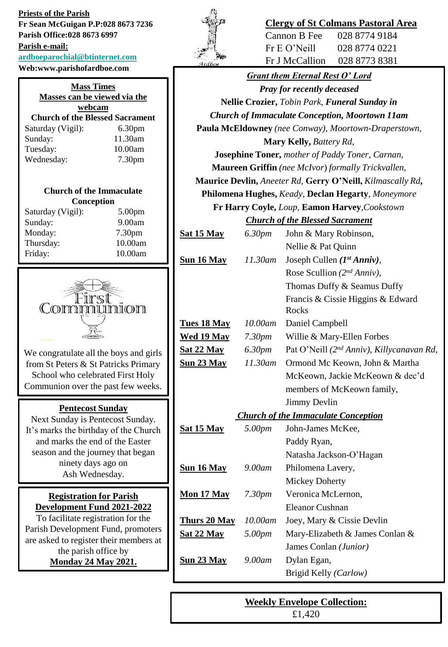**Priests of the Parish Fr Sean McGuigan P.P:028 8673 7236 Parish Office:028 8673 6997 Parish e-mail: [ardboeparochial@btinternet.com](mailto:ardboeparochial@btinternet.com) Web:www.parishofardboe.com**

| <b>Mass Times</b><br>Masses can be viewed via the |                    |  |
|---------------------------------------------------|--------------------|--|
| webcam                                            |                    |  |
| <b>Church of the Blessed Sacrament</b>            |                    |  |
| Saturday (Vigil):                                 | 6.30 <sub>pm</sub> |  |
| Sunday:                                           | 11.30am            |  |
| Tuesday:                                          | 10.00am            |  |
| Wednesday:                                        | 7.30 <sub>pm</sub> |  |
|                                                   |                    |  |

#### **Church of the Immaculate Conception**

| Saturday (Vigil): | 5.00 <sub>pm</sub> |
|-------------------|--------------------|
| Sunday:           | 9.00am             |
| Monday:           | 7.30 <sub>pm</sub> |
| Thursday:         | 10.00am            |
| Friday:           | 10.00am            |
|                   |                    |



We congratulate all the boys and girls from St Peters & St Patricks Primary School who celebrated First Holy Communion over the past few weeks.

## **Pentecost Sunday**

Next Sunday is Pentecost Sunday. It's marks the birthday of the Church and marks the end of the Easter season and the journey that began ninety days ago on Ash Wednesday.

## **Registration for Parish Development Fund 2021-2022**

To facilitate registration for the Parish Development Fund, promoters are asked to register their members at the parish office by **Monday 24 May 2021.**



# **Clergy of St Colmans Pastoral Area**

Cannon B Fee 028 8774 9184 Fr E O'Neill 028 8774 0221 Fr J McCallion 028 8773 8381

|                                            |         | <b>Grant them Eternal Rest O' Lord</b>                     |  |
|--------------------------------------------|---------|------------------------------------------------------------|--|
|                                            |         | <b>Pray for recently deceased</b>                          |  |
|                                            |         | Nellie Crozier, Tobin Park, Funeral Sunday in              |  |
|                                            |         | <b>Church of Immaculate Conception, Moortown 11am</b>      |  |
|                                            |         | Paula McEldowney (nee Conway), Moortown-Draperstown,       |  |
|                                            |         | <b>Mary Kelly, Battery Rd,</b>                             |  |
|                                            |         | <b>Josephine Toner, mother of Paddy Toner, Carnan,</b>     |  |
|                                            |         | <b>Maureen Griffin</b> (nee McIvor) formally Trickvallen,  |  |
|                                            |         | Maurice Devlin, Aneeter Rd, Gerry O'Neill, Kilmascally Rd, |  |
|                                            |         | Philomena Hughes, Keady, Declan Hegarty, Moneymore         |  |
|                                            |         | Fr Harry Coyle, Loup, Eamon Harvey, Cookstown              |  |
| <b>Church of the Blessed Sacrament</b>     |         |                                                            |  |
| <u>Sat 15 May</u>                          | 6.30pm  | John & Mary Robinson,                                      |  |
|                                            |         | Nellie & Pat Quinn                                         |  |
| <u>Sun 16 May</u>                          | 11.30am | Joseph Cullen $(I^{st} Anniv)$ ,                           |  |
|                                            |         | Rose Scullion ( $2^{nd} Anniv$ ),                          |  |
|                                            |         | Thomas Duffy & Seamus Duffy                                |  |
|                                            |         | Francis & Cissie Higgins & Edward<br>Rocks                 |  |
| <b>Tues 18 May</b>                         | 10.00am | Daniel Campbell                                            |  |
| <u>Wed 19 May</u>                          | 7.30pm  | Willie & Mary-Ellen Forbes                                 |  |
| <u>Sat 22 May</u>                          | 6.30pm  | Pat O'Neill (2 <sup>nd</sup> Anniv), Killycanavan Rd,      |  |
| <u>Sun 23 May</u>                          | 11.30am | Ormond Mc Keown, John & Martha                             |  |
|                                            |         | McKeown, Jackie McKeown & dec'd                            |  |
|                                            |         | members of McKeown family,                                 |  |
|                                            |         | <b>Jimmy Devlin</b>                                        |  |
| <b>Church of the Immaculate Conception</b> |         |                                                            |  |
| <u>Sat 15 May</u>                          | 5.00pm  | John-James McKee,                                          |  |
|                                            |         | Paddy Ryan,                                                |  |
|                                            |         | Natasha Jackson-O'Hagan                                    |  |
| Sun 16 May                                 | 9.00am  | Philomena Lavery,                                          |  |
|                                            |         | <b>Mickey Doherty</b>                                      |  |
| <u>Mon 17 May</u>                          | 7.30pm  | Veronica McLernon,                                         |  |
|                                            |         | Eleanor Cushnan                                            |  |
| <b>Thurs 20 May</b>                        | 10.00am | Joey, Mary & Cissie Devlin                                 |  |
| <b>Sat 22 May</b>                          | 5.00pm  | Mary-Elizabeth & James Conlan &                            |  |
|                                            |         | James Conlan (Junior)                                      |  |
| <b>Sun 23 May</b>                          | 9.00am  | Dylan Egan,                                                |  |
|                                            |         | Brigid Kelly (Carlow)                                      |  |

**Weekly Envelope Collection:** £1,420